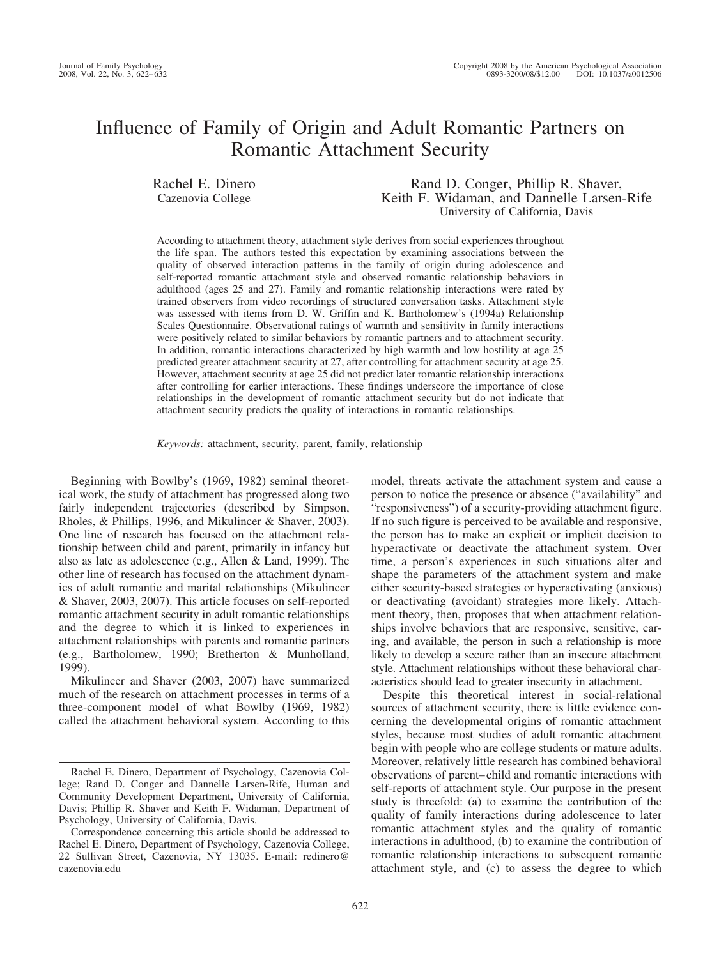# Influence of Family of Origin and Adult Romantic Partners on Romantic Attachment Security

Rachel E. Dinero Cazenovia College

Rand D. Conger, Phillip R. Shaver, Keith F. Widaman, and Dannelle Larsen-Rife University of California, Davis

According to attachment theory, attachment style derives from social experiences throughout the life span. The authors tested this expectation by examining associations between the quality of observed interaction patterns in the family of origin during adolescence and self-reported romantic attachment style and observed romantic relationship behaviors in adulthood (ages 25 and 27). Family and romantic relationship interactions were rated by trained observers from video recordings of structured conversation tasks. Attachment style was assessed with items from D. W. Griffin and K. Bartholomew's (1994a) Relationship Scales Questionnaire. Observational ratings of warmth and sensitivity in family interactions were positively related to similar behaviors by romantic partners and to attachment security. In addition, romantic interactions characterized by high warmth and low hostility at age 25 predicted greater attachment security at 27, after controlling for attachment security at age 25. However, attachment security at age 25 did not predict later romantic relationship interactions after controlling for earlier interactions. These findings underscore the importance of close relationships in the development of romantic attachment security but do not indicate that attachment security predicts the quality of interactions in romantic relationships.

*Keywords:* attachment, security, parent, family, relationship

Beginning with Bowlby's (1969, 1982) seminal theoretical work, the study of attachment has progressed along two fairly independent trajectories (described by Simpson, Rholes, & Phillips, 1996, and Mikulincer & Shaver, 2003). One line of research has focused on the attachment relationship between child and parent, primarily in infancy but also as late as adolescence (e.g., Allen & Land, 1999). The other line of research has focused on the attachment dynamics of adult romantic and marital relationships (Mikulincer & Shaver, 2003, 2007). This article focuses on self-reported romantic attachment security in adult romantic relationships and the degree to which it is linked to experiences in attachment relationships with parents and romantic partners (e.g., Bartholomew, 1990; Bretherton & Munholland, 1999).

Mikulincer and Shaver (2003, 2007) have summarized much of the research on attachment processes in terms of a three-component model of what Bowlby (1969, 1982) called the attachment behavioral system. According to this

model, threats activate the attachment system and cause a person to notice the presence or absence ("availability" and "responsiveness") of a security-providing attachment figure. If no such figure is perceived to be available and responsive, the person has to make an explicit or implicit decision to hyperactivate or deactivate the attachment system. Over time, a person's experiences in such situations alter and shape the parameters of the attachment system and make either security-based strategies or hyperactivating (anxious) or deactivating (avoidant) strategies more likely. Attachment theory, then, proposes that when attachment relationships involve behaviors that are responsive, sensitive, caring, and available, the person in such a relationship is more likely to develop a secure rather than an insecure attachment style. Attachment relationships without these behavioral characteristics should lead to greater insecurity in attachment.

Despite this theoretical interest in social-relational sources of attachment security, there is little evidence concerning the developmental origins of romantic attachment styles, because most studies of adult romantic attachment begin with people who are college students or mature adults. Moreover, relatively little research has combined behavioral observations of parent– child and romantic interactions with self-reports of attachment style. Our purpose in the present study is threefold: (a) to examine the contribution of the quality of family interactions during adolescence to later romantic attachment styles and the quality of romantic interactions in adulthood, (b) to examine the contribution of romantic relationship interactions to subsequent romantic attachment style, and (c) to assess the degree to which

Rachel E. Dinero, Department of Psychology, Cazenovia College; Rand D. Conger and Dannelle Larsen-Rife, Human and Community Development Department, University of California, Davis; Phillip R. Shaver and Keith F. Widaman, Department of Psychology, University of California, Davis.

Correspondence concerning this article should be addressed to Rachel E. Dinero, Department of Psychology, Cazenovia College, 22 Sullivan Street, Cazenovia, NY 13035. E-mail: redinero@ cazenovia.edu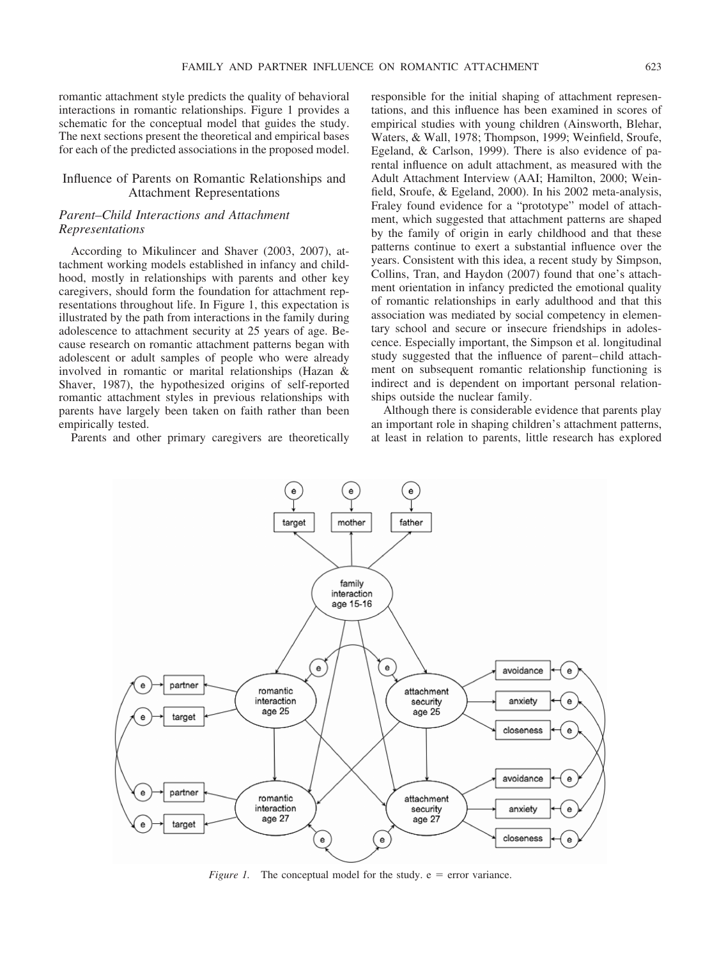romantic attachment style predicts the quality of behavioral interactions in romantic relationships. Figure 1 provides a schematic for the conceptual model that guides the study. The next sections present the theoretical and empirical bases for each of the predicted associations in the proposed model.

## Influence of Parents on Romantic Relationships and Attachment Representations

## *Parent–Child Interactions and Attachment Representations*

According to Mikulincer and Shaver (2003, 2007), attachment working models established in infancy and childhood, mostly in relationships with parents and other key caregivers, should form the foundation for attachment representations throughout life. In Figure 1, this expectation is illustrated by the path from interactions in the family during adolescence to attachment security at 25 years of age. Because research on romantic attachment patterns began with adolescent or adult samples of people who were already involved in romantic or marital relationships (Hazan & Shaver, 1987), the hypothesized origins of self-reported romantic attachment styles in previous relationships with parents have largely been taken on faith rather than been empirically tested.

Parents and other primary caregivers are theoretically

responsible for the initial shaping of attachment representations, and this influence has been examined in scores of empirical studies with young children (Ainsworth, Blehar, Waters, & Wall, 1978; Thompson, 1999; Weinfield, Sroufe, Egeland, & Carlson, 1999). There is also evidence of parental influence on adult attachment, as measured with the Adult Attachment Interview (AAI; Hamilton, 2000; Weinfield, Sroufe, & Egeland, 2000). In his 2002 meta-analysis, Fraley found evidence for a "prototype" model of attachment, which suggested that attachment patterns are shaped by the family of origin in early childhood and that these patterns continue to exert a substantial influence over the years. Consistent with this idea, a recent study by Simpson, Collins, Tran, and Haydon (2007) found that one's attachment orientation in infancy predicted the emotional quality of romantic relationships in early adulthood and that this association was mediated by social competency in elementary school and secure or insecure friendships in adolescence. Especially important, the Simpson et al. longitudinal study suggested that the influence of parent– child attachment on subsequent romantic relationship functioning is indirect and is dependent on important personal relationships outside the nuclear family.

Although there is considerable evidence that parents play an important role in shaping children's attachment patterns, at least in relation to parents, little research has explored



*Figure 1.* The conceptual model for the study.  $e =$  error variance.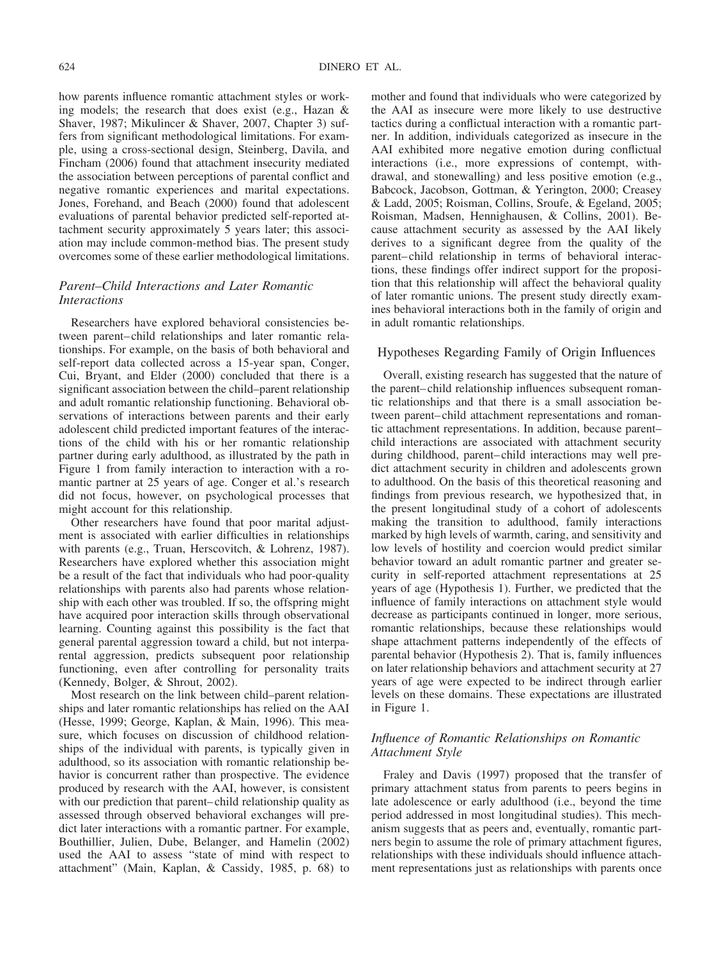how parents influence romantic attachment styles or working models; the research that does exist (e.g., Hazan & Shaver, 1987; Mikulincer & Shaver, 2007, Chapter 3) suffers from significant methodological limitations. For example, using a cross-sectional design, Steinberg, Davila, and Fincham (2006) found that attachment insecurity mediated the association between perceptions of parental conflict and negative romantic experiences and marital expectations. Jones, Forehand, and Beach (2000) found that adolescent evaluations of parental behavior predicted self-reported attachment security approximately 5 years later; this association may include common-method bias. The present study overcomes some of these earlier methodological limitations.

# *Parent–Child Interactions and Later Romantic Interactions*

Researchers have explored behavioral consistencies between parent– child relationships and later romantic relationships. For example, on the basis of both behavioral and self-report data collected across a 15-year span, Conger, Cui, Bryant, and Elder (2000) concluded that there is a significant association between the child–parent relationship and adult romantic relationship functioning. Behavioral observations of interactions between parents and their early adolescent child predicted important features of the interactions of the child with his or her romantic relationship partner during early adulthood, as illustrated by the path in Figure 1 from family interaction to interaction with a romantic partner at 25 years of age. Conger et al.'s research did not focus, however, on psychological processes that might account for this relationship.

Other researchers have found that poor marital adjustment is associated with earlier difficulties in relationships with parents (e.g., Truan, Herscovitch, & Lohrenz, 1987). Researchers have explored whether this association might be a result of the fact that individuals who had poor-quality relationships with parents also had parents whose relationship with each other was troubled. If so, the offspring might have acquired poor interaction skills through observational learning. Counting against this possibility is the fact that general parental aggression toward a child, but not interparental aggression, predicts subsequent poor relationship functioning, even after controlling for personality traits (Kennedy, Bolger, & Shrout, 2002).

Most research on the link between child–parent relationships and later romantic relationships has relied on the AAI (Hesse, 1999; George, Kaplan, & Main, 1996). This measure, which focuses on discussion of childhood relationships of the individual with parents, is typically given in adulthood, so its association with romantic relationship behavior is concurrent rather than prospective. The evidence produced by research with the AAI, however, is consistent with our prediction that parent–child relationship quality as assessed through observed behavioral exchanges will predict later interactions with a romantic partner. For example, Bouthillier, Julien, Dube, Belanger, and Hamelin (2002) used the AAI to assess "state of mind with respect to attachment" (Main, Kaplan, & Cassidy, 1985, p. 68) to

mother and found that individuals who were categorized by the AAI as insecure were more likely to use destructive tactics during a conflictual interaction with a romantic partner. In addition, individuals categorized as insecure in the AAI exhibited more negative emotion during conflictual interactions (i.e., more expressions of contempt, withdrawal, and stonewalling) and less positive emotion (e.g., Babcock, Jacobson, Gottman, & Yerington, 2000; Creasey & Ladd, 2005; Roisman, Collins, Sroufe, & Egeland, 2005; Roisman, Madsen, Hennighausen, & Collins, 2001). Because attachment security as assessed by the AAI likely derives to a significant degree from the quality of the parent– child relationship in terms of behavioral interactions, these findings offer indirect support for the proposition that this relationship will affect the behavioral quality of later romantic unions. The present study directly examines behavioral interactions both in the family of origin and in adult romantic relationships.

## Hypotheses Regarding Family of Origin Influences

Overall, existing research has suggested that the nature of the parent– child relationship influences subsequent romantic relationships and that there is a small association between parent– child attachment representations and romantic attachment representations. In addition, because parent– child interactions are associated with attachment security during childhood, parent– child interactions may well predict attachment security in children and adolescents grown to adulthood. On the basis of this theoretical reasoning and findings from previous research, we hypothesized that, in the present longitudinal study of a cohort of adolescents making the transition to adulthood, family interactions marked by high levels of warmth, caring, and sensitivity and low levels of hostility and coercion would predict similar behavior toward an adult romantic partner and greater security in self-reported attachment representations at 25 years of age (Hypothesis 1). Further, we predicted that the influence of family interactions on attachment style would decrease as participants continued in longer, more serious, romantic relationships, because these relationships would shape attachment patterns independently of the effects of parental behavior (Hypothesis 2). That is, family influences on later relationship behaviors and attachment security at 27 years of age were expected to be indirect through earlier levels on these domains. These expectations are illustrated in Figure 1.

# *Influence of Romantic Relationships on Romantic Attachment Style*

Fraley and Davis (1997) proposed that the transfer of primary attachment status from parents to peers begins in late adolescence or early adulthood (i.e., beyond the time period addressed in most longitudinal studies). This mechanism suggests that as peers and, eventually, romantic partners begin to assume the role of primary attachment figures, relationships with these individuals should influence attachment representations just as relationships with parents once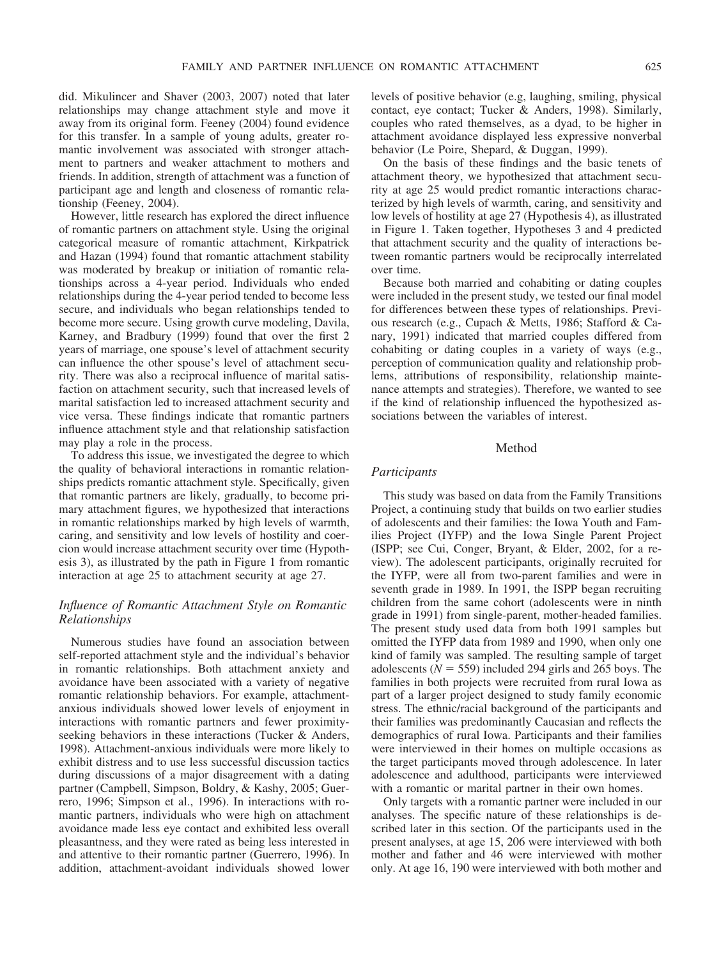did. Mikulincer and Shaver (2003, 2007) noted that later relationships may change attachment style and move it away from its original form. Feeney (2004) found evidence for this transfer. In a sample of young adults, greater romantic involvement was associated with stronger attachment to partners and weaker attachment to mothers and friends. In addition, strength of attachment was a function of participant age and length and closeness of romantic relationship (Feeney, 2004).

However, little research has explored the direct influence of romantic partners on attachment style. Using the original categorical measure of romantic attachment, Kirkpatrick and Hazan (1994) found that romantic attachment stability was moderated by breakup or initiation of romantic relationships across a 4-year period. Individuals who ended relationships during the 4-year period tended to become less secure, and individuals who began relationships tended to become more secure. Using growth curve modeling, Davila, Karney, and Bradbury (1999) found that over the first 2 years of marriage, one spouse's level of attachment security can influence the other spouse's level of attachment security. There was also a reciprocal influence of marital satisfaction on attachment security, such that increased levels of marital satisfaction led to increased attachment security and vice versa. These findings indicate that romantic partners influence attachment style and that relationship satisfaction may play a role in the process.

To address this issue, we investigated the degree to which the quality of behavioral interactions in romantic relationships predicts romantic attachment style. Specifically, given that romantic partners are likely, gradually, to become primary attachment figures, we hypothesized that interactions in romantic relationships marked by high levels of warmth, caring, and sensitivity and low levels of hostility and coercion would increase attachment security over time (Hypothesis 3), as illustrated by the path in Figure 1 from romantic interaction at age 25 to attachment security at age 27.

## *Influence of Romantic Attachment Style on Romantic Relationships*

Numerous studies have found an association between self-reported attachment style and the individual's behavior in romantic relationships. Both attachment anxiety and avoidance have been associated with a variety of negative romantic relationship behaviors. For example, attachmentanxious individuals showed lower levels of enjoyment in interactions with romantic partners and fewer proximityseeking behaviors in these interactions (Tucker & Anders, 1998). Attachment-anxious individuals were more likely to exhibit distress and to use less successful discussion tactics during discussions of a major disagreement with a dating partner (Campbell, Simpson, Boldry, & Kashy, 2005; Guerrero, 1996; Simpson et al., 1996). In interactions with romantic partners, individuals who were high on attachment avoidance made less eye contact and exhibited less overall pleasantness, and they were rated as being less interested in and attentive to their romantic partner (Guerrero, 1996). In addition, attachment-avoidant individuals showed lower

levels of positive behavior (e.g, laughing, smiling, physical contact, eye contact; Tucker & Anders, 1998). Similarly, couples who rated themselves, as a dyad, to be higher in attachment avoidance displayed less expressive nonverbal behavior (Le Poire, Shepard, & Duggan, 1999).

On the basis of these findings and the basic tenets of attachment theory, we hypothesized that attachment security at age 25 would predict romantic interactions characterized by high levels of warmth, caring, and sensitivity and low levels of hostility at age 27 (Hypothesis 4), as illustrated in Figure 1. Taken together, Hypotheses 3 and 4 predicted that attachment security and the quality of interactions between romantic partners would be reciprocally interrelated over time.

Because both married and cohabiting or dating couples were included in the present study, we tested our final model for differences between these types of relationships. Previous research (e.g., Cupach & Metts, 1986; Stafford & Canary, 1991) indicated that married couples differed from cohabiting or dating couples in a variety of ways (e.g., perception of communication quality and relationship problems, attributions of responsibility, relationship maintenance attempts and strategies). Therefore, we wanted to see if the kind of relationship influenced the hypothesized associations between the variables of interest.

#### Method

#### *Participants*

This study was based on data from the Family Transitions Project, a continuing study that builds on two earlier studies of adolescents and their families: the Iowa Youth and Families Project (IYFP) and the Iowa Single Parent Project (ISPP; see Cui, Conger, Bryant, & Elder, 2002, for a review). The adolescent participants, originally recruited for the IYFP, were all from two-parent families and were in seventh grade in 1989. In 1991, the ISPP began recruiting children from the same cohort (adolescents were in ninth grade in 1991) from single-parent, mother-headed families. The present study used data from both 1991 samples but omitted the IYFP data from 1989 and 1990, when only one kind of family was sampled. The resulting sample of target adolescents  $(N = 559)$  included 294 girls and 265 boys. The families in both projects were recruited from rural Iowa as part of a larger project designed to study family economic stress. The ethnic/racial background of the participants and their families was predominantly Caucasian and reflects the demographics of rural Iowa. Participants and their families were interviewed in their homes on multiple occasions as the target participants moved through adolescence. In later adolescence and adulthood, participants were interviewed with a romantic or marital partner in their own homes.

Only targets with a romantic partner were included in our analyses. The specific nature of these relationships is described later in this section. Of the participants used in the present analyses, at age 15, 206 were interviewed with both mother and father and 46 were interviewed with mother only. At age 16, 190 were interviewed with both mother and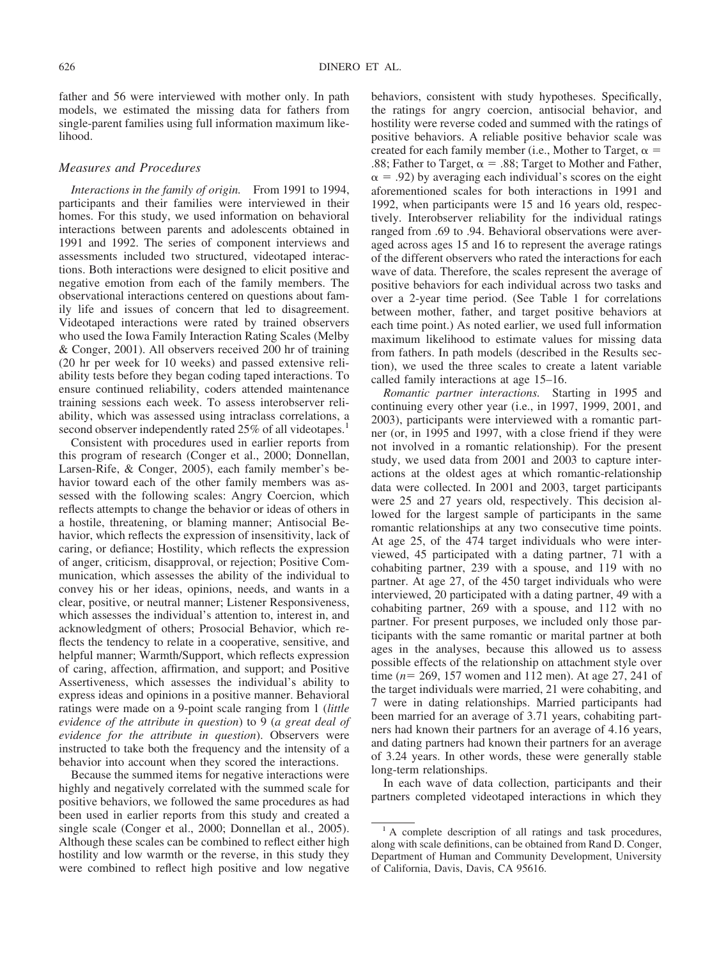father and 56 were interviewed with mother only. In path models, we estimated the missing data for fathers from single-parent families using full information maximum likelihood.

## *Measures and Procedures*

*Interactions in the family of origin.* From 1991 to 1994, participants and their families were interviewed in their homes. For this study, we used information on behavioral interactions between parents and adolescents obtained in 1991 and 1992. The series of component interviews and assessments included two structured, videotaped interactions. Both interactions were designed to elicit positive and negative emotion from each of the family members. The observational interactions centered on questions about family life and issues of concern that led to disagreement. Videotaped interactions were rated by trained observers who used the Iowa Family Interaction Rating Scales (Melby & Conger, 2001). All observers received 200 hr of training (20 hr per week for 10 weeks) and passed extensive reliability tests before they began coding taped interactions. To ensure continued reliability, coders attended maintenance training sessions each week. To assess interobserver reliability, which was assessed using intraclass correlations, a second observer independently rated 25% of all videotapes.<sup>1</sup>

Consistent with procedures used in earlier reports from this program of research (Conger et al., 2000; Donnellan, Larsen-Rife, & Conger, 2005), each family member's behavior toward each of the other family members was assessed with the following scales: Angry Coercion, which reflects attempts to change the behavior or ideas of others in a hostile, threatening, or blaming manner; Antisocial Behavior, which reflects the expression of insensitivity, lack of caring, or defiance; Hostility, which reflects the expression of anger, criticism, disapproval, or rejection; Positive Communication, which assesses the ability of the individual to convey his or her ideas, opinions, needs, and wants in a clear, positive, or neutral manner; Listener Responsiveness, which assesses the individual's attention to, interest in, and acknowledgment of others; Prosocial Behavior, which reflects the tendency to relate in a cooperative, sensitive, and helpful manner; Warmth/Support, which reflects expression of caring, affection, affirmation, and support; and Positive Assertiveness, which assesses the individual's ability to express ideas and opinions in a positive manner. Behavioral ratings were made on a 9-point scale ranging from 1 (*little evidence of the attribute in question*) to 9 (*a great deal of evidence for the attribute in question*). Observers were instructed to take both the frequency and the intensity of a behavior into account when they scored the interactions.

Because the summed items for negative interactions were highly and negatively correlated with the summed scale for positive behaviors, we followed the same procedures as had been used in earlier reports from this study and created a single scale (Conger et al., 2000; Donnellan et al., 2005). Although these scales can be combined to reflect either high hostility and low warmth or the reverse, in this study they were combined to reflect high positive and low negative behaviors, consistent with study hypotheses. Specifically, the ratings for angry coercion, antisocial behavior, and hostility were reverse coded and summed with the ratings of positive behaviors. A reliable positive behavior scale was created for each family member (i.e., Mother to Target,  $\alpha$  = .88; Father to Target,  $\alpha = .88$ ; Target to Mother and Father,  $\alpha$  = .92) by averaging each individual's scores on the eight aforementioned scales for both interactions in 1991 and 1992, when participants were 15 and 16 years old, respectively. Interobserver reliability for the individual ratings ranged from .69 to .94. Behavioral observations were averaged across ages 15 and 16 to represent the average ratings of the different observers who rated the interactions for each wave of data. Therefore, the scales represent the average of positive behaviors for each individual across two tasks and over a 2-year time period. (See Table 1 for correlations between mother, father, and target positive behaviors at each time point.) As noted earlier, we used full information maximum likelihood to estimate values for missing data from fathers. In path models (described in the Results section), we used the three scales to create a latent variable called family interactions at age 15–16.

*Romantic partner interactions.* Starting in 1995 and continuing every other year (i.e., in 1997, 1999, 2001, and 2003), participants were interviewed with a romantic partner (or, in 1995 and 1997, with a close friend if they were not involved in a romantic relationship). For the present study, we used data from 2001 and 2003 to capture interactions at the oldest ages at which romantic-relationship data were collected. In 2001 and 2003, target participants were 25 and 27 years old, respectively. This decision allowed for the largest sample of participants in the same romantic relationships at any two consecutive time points. At age 25, of the 474 target individuals who were interviewed, 45 participated with a dating partner, 71 with a cohabiting partner, 239 with a spouse, and 119 with no partner. At age 27, of the 450 target individuals who were interviewed, 20 participated with a dating partner, 49 with a cohabiting partner, 269 with a spouse, and 112 with no partner. For present purposes, we included only those participants with the same romantic or marital partner at both ages in the analyses, because this allowed us to assess possible effects of the relationship on attachment style over time ( $n = 269$ , 157 women and 112 men). At age 27, 241 of the target individuals were married, 21 were cohabiting, and 7 were in dating relationships. Married participants had been married for an average of 3.71 years, cohabiting partners had known their partners for an average of 4.16 years, and dating partners had known their partners for an average of 3.24 years. In other words, these were generally stable long-term relationships.

In each wave of data collection, participants and their partners completed videotaped interactions in which they

<sup>&</sup>lt;sup>1</sup> A complete description of all ratings and task procedures, along with scale definitions, can be obtained from Rand D. Conger, Department of Human and Community Development, University of California, Davis, Davis, CA 95616.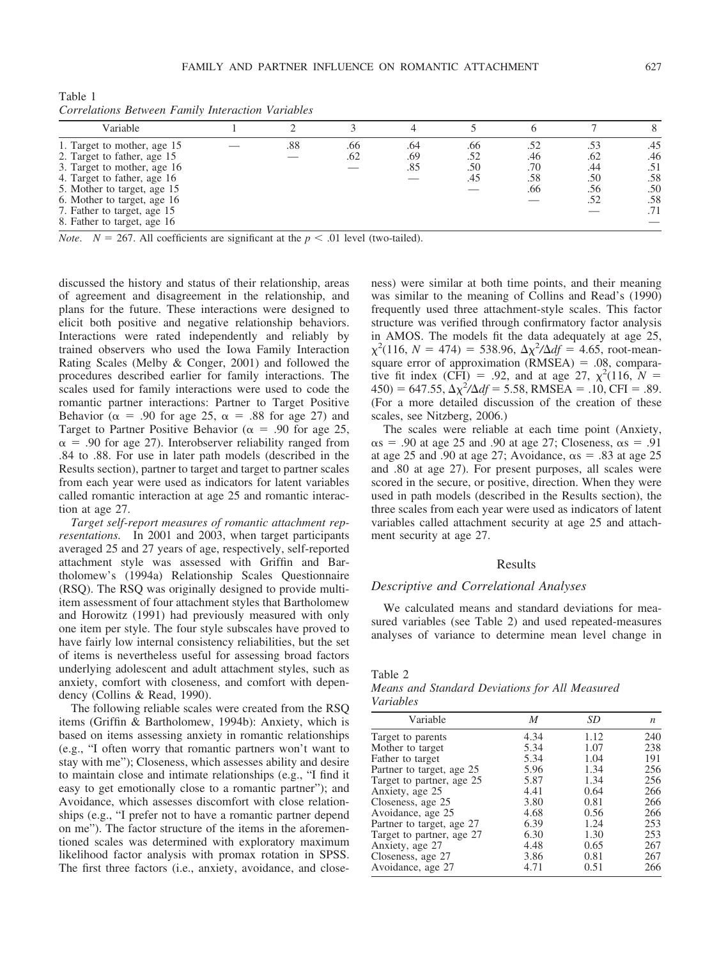Table 1 *Correlations Between Family Interaction Variables*

| Variable                                                                                                                                                                                                              |     |            |                   |                          |                                 |                                        |                                               |
|-----------------------------------------------------------------------------------------------------------------------------------------------------------------------------------------------------------------------|-----|------------|-------------------|--------------------------|---------------------------------|----------------------------------------|-----------------------------------------------|
| 1. Target to mother, age 15<br>2. Target to father, age 15<br>3. Target to mother, age 16<br>4. Target to father, age 16<br>5. Mother to target, age 15<br>6. Mother to target, age 16<br>7. Father to target, age 15 | .88 | .66<br>.62 | .64<br>.69<br>.85 | .66<br>.52<br>.50<br>.45 | .52<br>.46<br>.70<br>.58<br>.66 | .53<br>.62<br>.44<br>.50<br>.56<br>.52 | .45<br>.46<br>.51<br>.58<br>.50<br>.58<br>.71 |
| 8. Father to target, age 16                                                                                                                                                                                           |     |            |                   |                          |                                 |                                        |                                               |

*Note.*  $N = 267$ . All coefficients are significant at the  $p < .01$  level (two-tailed).

discussed the history and status of their relationship, areas of agreement and disagreement in the relationship, and plans for the future. These interactions were designed to elicit both positive and negative relationship behaviors. Interactions were rated independently and reliably by trained observers who used the Iowa Family Interaction Rating Scales (Melby & Conger, 2001) and followed the procedures described earlier for family interactions. The scales used for family interactions were used to code the romantic partner interactions: Partner to Target Positive Behavior ( $\alpha$  = .90 for age 25,  $\alpha$  = .88 for age 27) and Target to Partner Positive Behavior ( $\alpha = .90$  for age 25,  $\alpha$  = .90 for age 27). Interobserver reliability ranged from .84 to .88. For use in later path models (described in the Results section), partner to target and target to partner scales from each year were used as indicators for latent variables called romantic interaction at age 25 and romantic interaction at age 27.

*Target self-report measures of romantic attachment representations.* In 2001 and 2003, when target participants averaged 25 and 27 years of age, respectively, self-reported attachment style was assessed with Griffin and Bartholomew's (1994a) Relationship Scales Questionnaire (RSQ). The RSQ was originally designed to provide multiitem assessment of four attachment styles that Bartholomew and Horowitz (1991) had previously measured with only one item per style. The four style subscales have proved to have fairly low internal consistency reliabilities, but the set of items is nevertheless useful for assessing broad factors underlying adolescent and adult attachment styles, such as anxiety, comfort with closeness, and comfort with dependency (Collins & Read, 1990).

The following reliable scales were created from the RSQ items (Griffin & Bartholomew, 1994b): Anxiety, which is based on items assessing anxiety in romantic relationships (e.g., "I often worry that romantic partners won't want to stay with me"); Closeness, which assesses ability and desire to maintain close and intimate relationships (e.g., "I find it easy to get emotionally close to a romantic partner"); and Avoidance, which assesses discomfort with close relationships (e.g., "I prefer not to have a romantic partner depend on me"). The factor structure of the items in the aforementioned scales was determined with exploratory maximum likelihood factor analysis with promax rotation in SPSS. The first three factors (i.e., anxiety, avoidance, and closeness) were similar at both time points, and their meaning was similar to the meaning of Collins and Read's (1990) frequently used three attachment-style scales. This factor structure was verified through confirmatory factor analysis in AMOS. The models fit the data adequately at age 25,  $\chi^2(116, N = 474) = 538.96, \Delta \chi^2/\Delta df = 4.65$ , root-meansquare error of approximation  $(RMSEA) = .08$ , comparative fit index (CFI) = .92, and at age 27,  $\chi^2(116, N =$  $450$ ) = 647.55,  $\Delta \chi^2/\Delta df$  = 5.58, RMSEA = .10, CFI = .89. (For a more detailed discussion of the creation of these scales, see Nitzberg, 2006.)

The scales were reliable at each time point (Anxiety,  $\alpha s = .90$  at age 25 and .90 at age 27; Closeness,  $\alpha s = .91$ at age 25 and .90 at age 27; Avoidance,  $\alpha s = .83$  at age 25 and .80 at age 27). For present purposes, all scales were scored in the secure, or positive, direction. When they were used in path models (described in the Results section), the three scales from each year were used as indicators of latent variables called attachment security at age 25 and attachment security at age 27.

#### Results

#### *Descriptive and Correlational Analyses*

We calculated means and standard deviations for measured variables (see Table 2) and used repeated-measures analyses of variance to determine mean level change in

Table 2

| Means and Standard Deviations for All Measured |  |  |  |
|------------------------------------------------|--|--|--|
| Variables                                      |  |  |  |

| Variable                  | M    | SD   | $\boldsymbol{n}$ |
|---------------------------|------|------|------------------|
| Target to parents         | 4.34 | 1.12 | 240              |
| Mother to target          | 5.34 | 1.07 | 238              |
| Father to target          | 5.34 | 1.04 | 191              |
| Partner to target, age 25 | 5.96 | 1.34 | 256              |
| Target to partner, age 25 | 5.87 | 1.34 | 256              |
| Anxiety, age 25           | 4.41 | 0.64 | 266              |
| Closeness, age 25         | 3.80 | 0.81 | 266              |
| Avoidance, age 25         | 4.68 | 0.56 | 266              |
| Partner to target, age 27 | 6.39 | 1.24 | 253              |
| Target to partner, age 27 | 6.30 | 1.30 | 253              |
| Anxiety, age 27           | 4.48 | 0.65 | 267              |
| Closeness, age 27         | 3.86 | 0.81 | 267              |
| Avoidance, age 27         | 4.71 | 0.51 | 266              |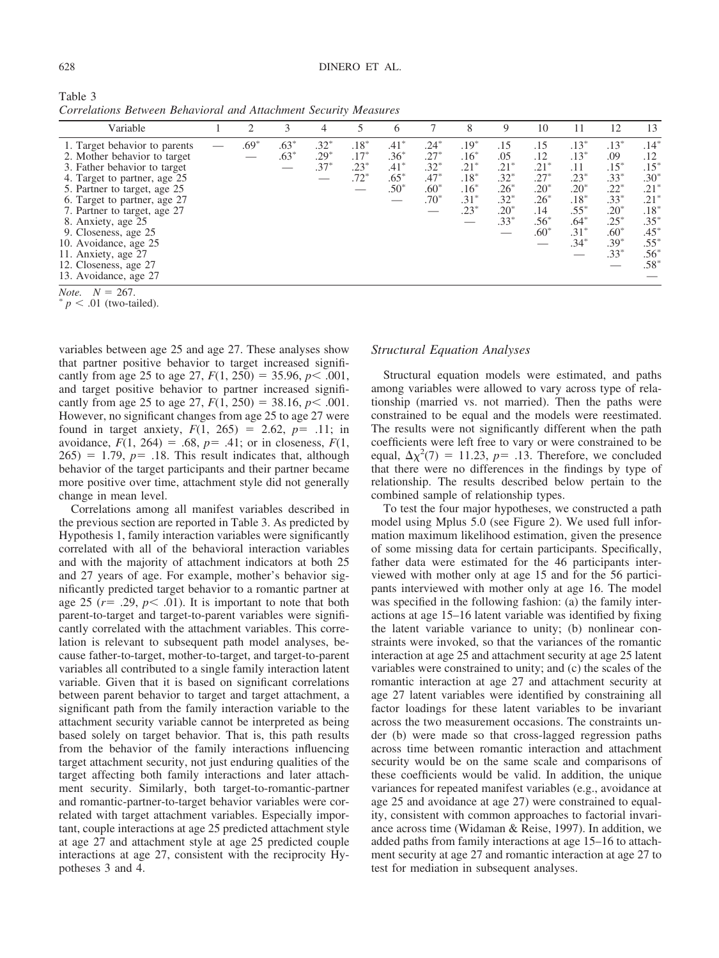Table 3 *Correlations Between Behavioral and Attachment Security Measures*

| Variable                                                                                                                                                                                                                                                                                                                                                                      |        |                  |                            |                                      | 6                                              |                                                          | 8                                                                  | 9                                                                     | 10                                                                            | 11                                                                                            | 12                                                                                                      | 13                                                                                                                 |
|-------------------------------------------------------------------------------------------------------------------------------------------------------------------------------------------------------------------------------------------------------------------------------------------------------------------------------------------------------------------------------|--------|------------------|----------------------------|--------------------------------------|------------------------------------------------|----------------------------------------------------------|--------------------------------------------------------------------|-----------------------------------------------------------------------|-------------------------------------------------------------------------------|-----------------------------------------------------------------------------------------------|---------------------------------------------------------------------------------------------------------|--------------------------------------------------------------------------------------------------------------------|
| 1. Target behavior to parents<br>2. Mother behavior to target<br>3. Father behavior to target<br>4. Target to partner, age 25<br>5. Partner to target, age 25<br>6. Target to partner, age 27<br>7. Partner to target, age 27<br>8. Anxiety, age 25<br>9. Closeness, age 25<br>10. Avoidance, age 25<br>11. Anxiety, age 27<br>12. Closeness, age 27<br>13. Avoidance, age 27 | $.69*$ | $.63*$<br>$.63*$ | $.32*$<br>$.29*$<br>$.37*$ | $.18*$<br>$.17*$<br>$.23*$<br>$.72*$ | $.41*$<br>$.36*$<br>$.41*$<br>$.65*$<br>$.50*$ | $.24*$<br>$.27*$<br>$.32*$<br>$.47*$<br>$.60*$<br>$.70*$ | $.19*$<br>$.16*$<br>$.21*$<br>$.18*$<br>$.16*$<br>$.31*$<br>$.23*$ | .15<br>.05<br>$21*$<br>$.32*$<br>$.26*$<br>$.32*$<br>$.20*$<br>$.33*$ | .15<br>.12<br>$.21*$<br>$.27*$<br>$.20*$<br>$.26*$<br>.14<br>$.56*$<br>$.60*$ | $.13*$<br>$.13*$<br>.11<br>$.23*$<br>$.20*$<br>$.18*$<br>$.55*$<br>$.64*$<br>$.31*$<br>$.34*$ | $.13*$<br>.09<br>$.15*$<br>$.33*$<br>$.22*$<br>$.33*$<br>$.20*$<br>$.25*$<br>$.60*$<br>$.39*$<br>$.33*$ | $.14*$<br>.12<br>$.15*$<br>$.30*$<br>$.21*$<br>$.21*$<br>$.18*$<br>$.35*$<br>$.45*$<br>$.55*$<br>$.56^*$<br>$.58*$ |
| $\mathbf{v}$ $\mathbf{v}$ $\mathbf{v}$ $\mathbf{v}$                                                                                                                                                                                                                                                                                                                           |        |                  |                            |                                      |                                                |                                                          |                                                                    |                                                                       |                                                                               |                                                                                               |                                                                                                         |                                                                                                                    |

*Note.*  $N = 267$ .<br> *\**  $p < .01$  (two-tailed).

variables between age 25 and age 27. These analyses show that partner positive behavior to target increased significantly from age 25 to age 27,  $F(1, 250) = 35.96$ ,  $p < .001$ , and target positive behavior to partner increased significantly from age 25 to age 27,  $F(1, 250) = 38.16$ ,  $p < .001$ . However, no significant changes from age 25 to age 27 were found in target anxiety,  $F(1, 265) = 2.62$ ,  $p = .11$ ; in avoidance,  $F(1, 264) = .68$ ,  $p = .41$ ; or in closeness,  $F(1, 264) = .68$  $265$ ) = 1.79,  $p = 0.18$ . This result indicates that, although behavior of the target participants and their partner became more positive over time, attachment style did not generally change in mean level.

Correlations among all manifest variables described in the previous section are reported in Table 3. As predicted by Hypothesis 1, family interaction variables were significantly correlated with all of the behavioral interaction variables and with the majority of attachment indicators at both 25 and 27 years of age. For example, mother's behavior significantly predicted target behavior to a romantic partner at age 25 ( $r = .29$ ,  $p < .01$ ). It is important to note that both parent-to-target and target-to-parent variables were significantly correlated with the attachment variables. This correlation is relevant to subsequent path model analyses, because father-to-target, mother-to-target, and target-to-parent variables all contributed to a single family interaction latent variable. Given that it is based on significant correlations between parent behavior to target and target attachment, a significant path from the family interaction variable to the attachment security variable cannot be interpreted as being based solely on target behavior. That is, this path results from the behavior of the family interactions influencing target attachment security, not just enduring qualities of the target affecting both family interactions and later attachment security. Similarly, both target-to-romantic-partner and romantic-partner-to-target behavior variables were correlated with target attachment variables. Especially important, couple interactions at age 25 predicted attachment style at age 27 and attachment style at age 25 predicted couple interactions at age 27, consistent with the reciprocity Hypotheses 3 and 4.

#### *Structural Equation Analyses*

Structural equation models were estimated, and paths among variables were allowed to vary across type of relationship (married vs. not married). Then the paths were constrained to be equal and the models were reestimated. The results were not significantly different when the path coefficients were left free to vary or were constrained to be equal,  $\Delta \chi^2(7) = 11.23$ ,  $p = .13$ . Therefore, we concluded that there were no differences in the findings by type of relationship. The results described below pertain to the combined sample of relationship types.

To test the four major hypotheses, we constructed a path model using Mplus 5.0 (see Figure 2). We used full information maximum likelihood estimation, given the presence of some missing data for certain participants. Specifically, father data were estimated for the 46 participants interviewed with mother only at age 15 and for the 56 participants interviewed with mother only at age 16. The model was specified in the following fashion: (a) the family interactions at age 15–16 latent variable was identified by fixing the latent variable variance to unity; (b) nonlinear constraints were invoked, so that the variances of the romantic interaction at age 25 and attachment security at age 25 latent variables were constrained to unity; and (c) the scales of the romantic interaction at age 27 and attachment security at age 27 latent variables were identified by constraining all factor loadings for these latent variables to be invariant across the two measurement occasions. The constraints under (b) were made so that cross-lagged regression paths across time between romantic interaction and attachment security would be on the same scale and comparisons of these coefficients would be valid. In addition, the unique variances for repeated manifest variables (e.g., avoidance at age 25 and avoidance at age 27) were constrained to equality, consistent with common approaches to factorial invariance across time (Widaman & Reise, 1997). In addition, we added paths from family interactions at age 15–16 to attachment security at age 27 and romantic interaction at age 27 to test for mediation in subsequent analyses.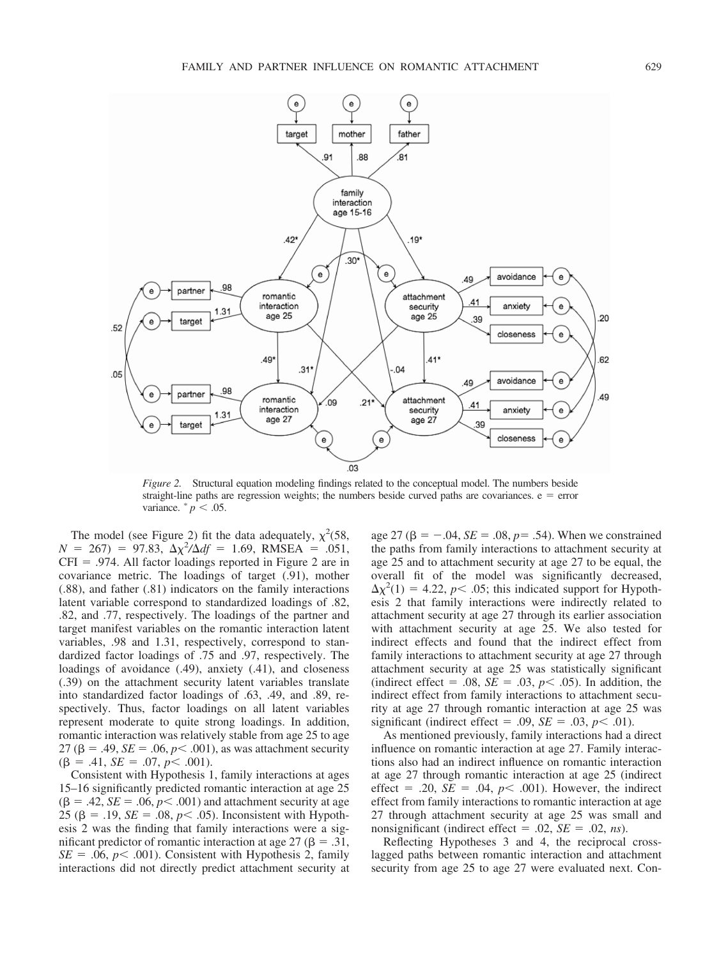

*Figure 2.* Structural equation modeling findings related to the conceptual model. The numbers beside straight-line paths are regression weights; the numbers beside curved paths are covariances.  $e = error$ variance.  $\degree p < .05$ .

The model (see Figure 2) fit the data adequately,  $\chi^2$ (58,  $N = 267$  = 97.83,  $\Delta \chi^2 / \Delta df = 1.69$ , RMSEA = .051,  $CFI = .974$ . All factor loadings reported in Figure 2 are in covariance metric. The loadings of target (.91), mother (.88), and father (.81) indicators on the family interactions latent variable correspond to standardized loadings of .82, .82, and .77, respectively. The loadings of the partner and target manifest variables on the romantic interaction latent variables, .98 and 1.31, respectively, correspond to standardized factor loadings of .75 and .97, respectively. The loadings of avoidance (.49), anxiety (.41), and closeness (.39) on the attachment security latent variables translate into standardized factor loadings of .63, .49, and .89, respectively. Thus, factor loadings on all latent variables represent moderate to quite strong loadings. In addition, romantic interaction was relatively stable from age 25 to age  $27 (\beta = .49, SE = .06, p < .001)$ , as was attachment security  $(\beta = .41, SE = .07, p < .001).$ 

Consistent with Hypothesis 1, family interactions at ages 15–16 significantly predicted romantic interaction at age 25  $(\beta = .42, SE = .06, p < .001)$  and attachment security at age 25 (β = .19, *SE* = .08, *p* < .05). Inconsistent with Hypothesis 2 was the finding that family interactions were a significant predictor of romantic interaction at age 27 ( $\beta$  = .31,  $SE = .06$ ,  $p < .001$ ). Consistent with Hypothesis 2, family interactions did not directly predict attachment security at age 27 ( $\beta = -.04$ ,  $SE = .08$ ,  $p = .54$ ). When we constrained the paths from family interactions to attachment security at age 25 and to attachment security at age 27 to be equal, the overall fit of the model was significantly decreased,  $\Delta \chi^2(1) = 4.22$ ,  $p < .05$ ; this indicated support for Hypothesis 2 that family interactions were indirectly related to attachment security at age 27 through its earlier association with attachment security at age 25. We also tested for indirect effects and found that the indirect effect from family interactions to attachment security at age 27 through attachment security at age 25 was statistically significant (indirect effect  $= .08$ ,  $SE = .03$ ,  $p < .05$ ). In addition, the indirect effect from family interactions to attachment security at age 27 through romantic interaction at age 25 was significant (indirect effect  $= .09$ , *SE*  $= .03$ , *p*  $< .01$ ).

As mentioned previously, family interactions had a direct influence on romantic interaction at age 27. Family interactions also had an indirect influence on romantic interaction at age 27 through romantic interaction at age 25 (indirect effect  $= .20$ ,  $SE = .04$ ,  $p < .001$ ). However, the indirect effect from family interactions to romantic interaction at age 27 through attachment security at age 25 was small and nonsignificant (indirect effect  $= .02$ , *SE*  $= .02$ , *ns*).

Reflecting Hypotheses 3 and 4, the reciprocal crosslagged paths between romantic interaction and attachment security from age 25 to age 27 were evaluated next. Con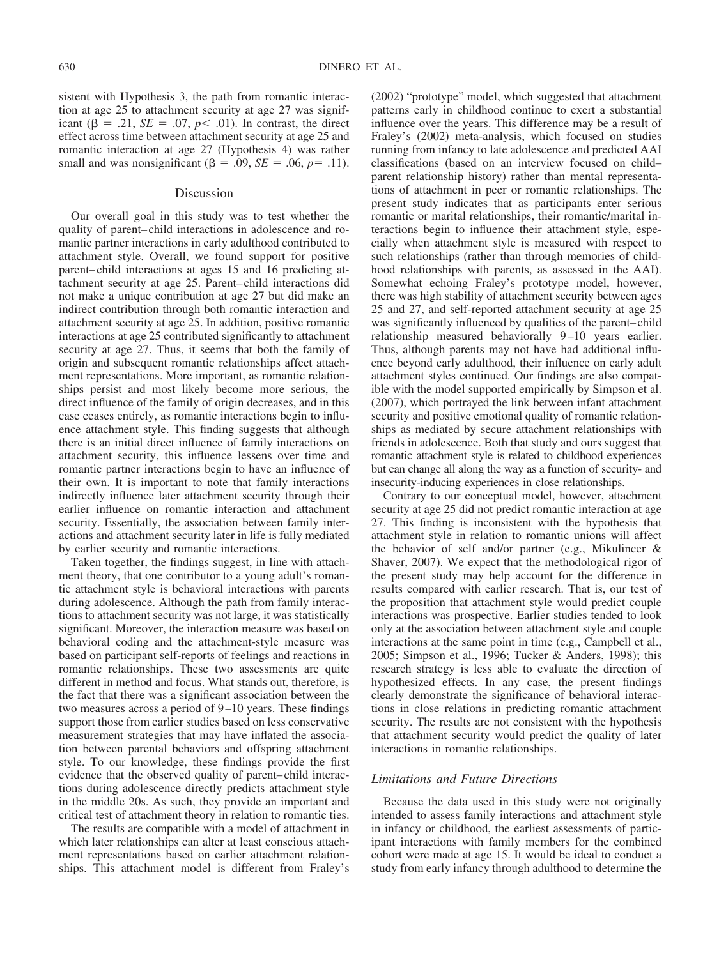sistent with Hypothesis 3, the path from romantic interaction at age 25 to attachment security at age 27 was significant ( $\beta$  = .21, *SE* = .07,  $p$  < .01). In contrast, the direct effect across time between attachment security at age 25 and romantic interaction at age 27 (Hypothesis 4) was rather small and was nonsignificant ( $\beta$  = .09, *SE* = .06, *p* = .11).

#### Discussion

Our overall goal in this study was to test whether the quality of parent– child interactions in adolescence and romantic partner interactions in early adulthood contributed to attachment style. Overall, we found support for positive parent– child interactions at ages 15 and 16 predicting attachment security at age 25. Parent– child interactions did not make a unique contribution at age 27 but did make an indirect contribution through both romantic interaction and attachment security at age 25. In addition, positive romantic interactions at age 25 contributed significantly to attachment security at age 27. Thus, it seems that both the family of origin and subsequent romantic relationships affect attachment representations. More important, as romantic relationships persist and most likely become more serious, the direct influence of the family of origin decreases, and in this case ceases entirely, as romantic interactions begin to influence attachment style. This finding suggests that although there is an initial direct influence of family interactions on attachment security, this influence lessens over time and romantic partner interactions begin to have an influence of their own. It is important to note that family interactions indirectly influence later attachment security through their earlier influence on romantic interaction and attachment security. Essentially, the association between family interactions and attachment security later in life is fully mediated by earlier security and romantic interactions.

Taken together, the findings suggest, in line with attachment theory, that one contributor to a young adult's romantic attachment style is behavioral interactions with parents during adolescence. Although the path from family interactions to attachment security was not large, it was statistically significant. Moreover, the interaction measure was based on behavioral coding and the attachment-style measure was based on participant self-reports of feelings and reactions in romantic relationships. These two assessments are quite different in method and focus. What stands out, therefore, is the fact that there was a significant association between the two measures across a period of  $9-10$  years. These findings support those from earlier studies based on less conservative measurement strategies that may have inflated the association between parental behaviors and offspring attachment style. To our knowledge, these findings provide the first evidence that the observed quality of parent– child interactions during adolescence directly predicts attachment style in the middle 20s. As such, they provide an important and critical test of attachment theory in relation to romantic ties.

The results are compatible with a model of attachment in which later relationships can alter at least conscious attachment representations based on earlier attachment relationships. This attachment model is different from Fraley's

(2002) "prototype" model, which suggested that attachment patterns early in childhood continue to exert a substantial influence over the years. This difference may be a result of Fraley's (2002) meta-analysis, which focused on studies running from infancy to late adolescence and predicted AAI classifications (based on an interview focused on child– parent relationship history) rather than mental representations of attachment in peer or romantic relationships. The present study indicates that as participants enter serious romantic or marital relationships, their romantic/marital interactions begin to influence their attachment style, especially when attachment style is measured with respect to such relationships (rather than through memories of childhood relationships with parents, as assessed in the AAI). Somewhat echoing Fraley's prototype model, however, there was high stability of attachment security between ages 25 and 27, and self-reported attachment security at age 25 was significantly influenced by qualities of the parent– child relationship measured behaviorally 9 –10 years earlier. Thus, although parents may not have had additional influence beyond early adulthood, their influence on early adult attachment styles continued. Our findings are also compatible with the model supported empirically by Simpson et al. (2007), which portrayed the link between infant attachment security and positive emotional quality of romantic relationships as mediated by secure attachment relationships with friends in adolescence. Both that study and ours suggest that romantic attachment style is related to childhood experiences but can change all along the way as a function of security- and insecurity-inducing experiences in close relationships.

Contrary to our conceptual model, however, attachment security at age 25 did not predict romantic interaction at age 27. This finding is inconsistent with the hypothesis that attachment style in relation to romantic unions will affect the behavior of self and/or partner (e.g., Mikulincer & Shaver, 2007). We expect that the methodological rigor of the present study may help account for the difference in results compared with earlier research. That is, our test of the proposition that attachment style would predict couple interactions was prospective. Earlier studies tended to look only at the association between attachment style and couple interactions at the same point in time (e.g., Campbell et al., 2005; Simpson et al., 1996; Tucker & Anders, 1998); this research strategy is less able to evaluate the direction of hypothesized effects. In any case, the present findings clearly demonstrate the significance of behavioral interactions in close relations in predicting romantic attachment security. The results are not consistent with the hypothesis that attachment security would predict the quality of later interactions in romantic relationships.

#### *Limitations and Future Directions*

Because the data used in this study were not originally intended to assess family interactions and attachment style in infancy or childhood, the earliest assessments of participant interactions with family members for the combined cohort were made at age 15. It would be ideal to conduct a study from early infancy through adulthood to determine the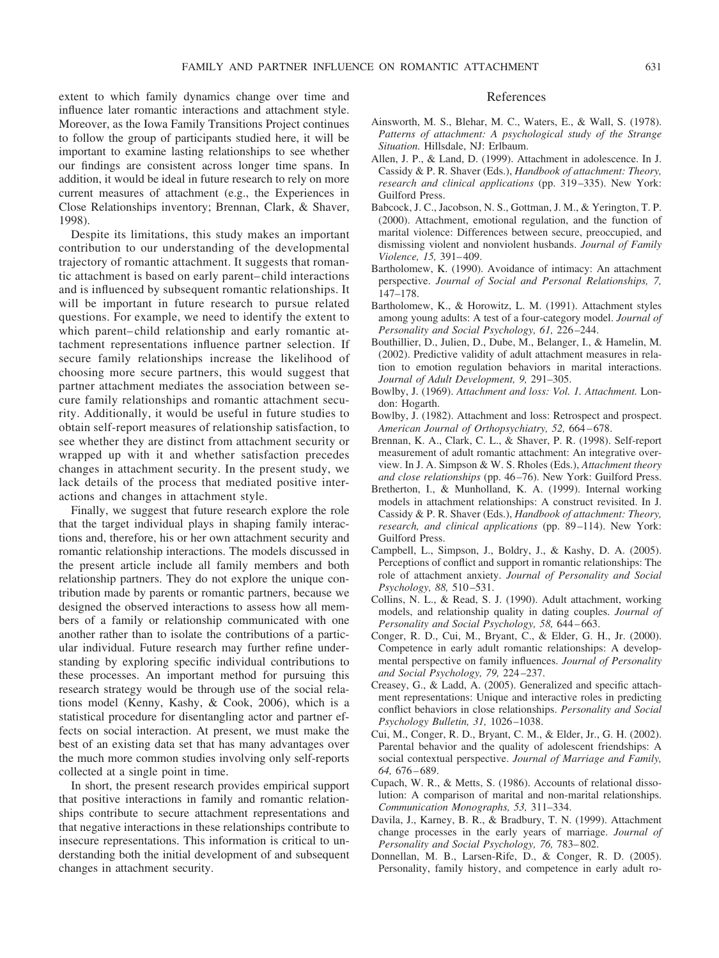extent to which family dynamics change over time and influence later romantic interactions and attachment style. Moreover, as the Iowa Family Transitions Project continues to follow the group of participants studied here, it will be important to examine lasting relationships to see whether our findings are consistent across longer time spans. In addition, it would be ideal in future research to rely on more current measures of attachment (e.g., the Experiences in Close Relationships inventory; Brennan, Clark, & Shaver, 1998).

Despite its limitations, this study makes an important contribution to our understanding of the developmental trajectory of romantic attachment. It suggests that romantic attachment is based on early parent– child interactions and is influenced by subsequent romantic relationships. It will be important in future research to pursue related questions. For example, we need to identify the extent to which parent–child relationship and early romantic attachment representations influence partner selection. If secure family relationships increase the likelihood of choosing more secure partners, this would suggest that partner attachment mediates the association between secure family relationships and romantic attachment security. Additionally, it would be useful in future studies to obtain self-report measures of relationship satisfaction, to see whether they are distinct from attachment security or wrapped up with it and whether satisfaction precedes changes in attachment security. In the present study, we lack details of the process that mediated positive interactions and changes in attachment style.

Finally, we suggest that future research explore the role that the target individual plays in shaping family interactions and, therefore, his or her own attachment security and romantic relationship interactions. The models discussed in the present article include all family members and both relationship partners. They do not explore the unique contribution made by parents or romantic partners, because we designed the observed interactions to assess how all members of a family or relationship communicated with one another rather than to isolate the contributions of a particular individual. Future research may further refine understanding by exploring specific individual contributions to these processes. An important method for pursuing this research strategy would be through use of the social relations model (Kenny, Kashy, & Cook, 2006), which is a statistical procedure for disentangling actor and partner effects on social interaction. At present, we must make the best of an existing data set that has many advantages over the much more common studies involving only self-reports collected at a single point in time.

In short, the present research provides empirical support that positive interactions in family and romantic relationships contribute to secure attachment representations and that negative interactions in these relationships contribute to insecure representations. This information is critical to understanding both the initial development of and subsequent changes in attachment security.

## References

- Ainsworth, M. S., Blehar, M. C., Waters, E., & Wall, S. (1978). *Patterns of attachment: A psychological study of the Strange Situation.* Hillsdale, NJ: Erlbaum.
- Allen, J. P., & Land, D. (1999). Attachment in adolescence. In J. Cassidy & P. R. Shaver (Eds.), *Handbook of attachment: Theory, research and clinical applications* (pp. 319 –335). New York: Guilford Press.
- Babcock, J. C., Jacobson, N. S., Gottman, J. M., & Yerington, T. P. (2000). Attachment, emotional regulation, and the function of marital violence: Differences between secure, preoccupied, and dismissing violent and nonviolent husbands. *Journal of Family Violence, 15,* 391– 409.
- Bartholomew, K. (1990). Avoidance of intimacy: An attachment perspective. *Journal of Social and Personal Relationships, 7,* 147–178.
- Bartholomew, K., & Horowitz, L. M. (1991). Attachment styles among young adults: A test of a four-category model. *Journal of Personality and Social Psychology, 61,* 226 –244.
- Bouthillier, D., Julien, D., Dube, M., Belanger, I., & Hamelin, M. (2002). Predictive validity of adult attachment measures in relation to emotion regulation behaviors in marital interactions. *Journal of Adult Development, 9,* 291–305.
- Bowlby, J. (1969). *Attachment and loss: Vol. 1. Attachment.* London: Hogarth.
- Bowlby, J. (1982). Attachment and loss: Retrospect and prospect. *American Journal of Orthopsychiatry, 52,* 664 – 678.
- Brennan, K. A., Clark, C. L., & Shaver, P. R. (1998). Self-report measurement of adult romantic attachment: An integrative overview. In J. A. Simpson & W. S. Rholes (Eds.), *Attachment theory and close relationships* (pp. 46 –76). New York: Guilford Press.
- Bretherton, I., & Munholland, K. A. (1999). Internal working models in attachment relationships: A construct revisited. In J. Cassidy & P. R. Shaver (Eds.), *Handbook of attachment: Theory,* research, and clinical applications (pp. 89-114). New York: Guilford Press.
- Campbell, L., Simpson, J., Boldry, J., & Kashy, D. A. (2005). Perceptions of conflict and support in romantic relationships: The role of attachment anxiety. *Journal of Personality and Social Psychology, 88,* 510 –531.
- Collins, N. L., & Read, S. J. (1990). Adult attachment, working models, and relationship quality in dating couples. *Journal of Personality and Social Psychology, 58,* 644 – 663.
- Conger, R. D., Cui, M., Bryant, C., & Elder, G. H., Jr. (2000). Competence in early adult romantic relationships: A developmental perspective on family influences. *Journal of Personality and Social Psychology, 79,* 224 –237.
- Creasey, G., & Ladd, A. (2005). Generalized and specific attachment representations: Unique and interactive roles in predicting conflict behaviors in close relationships. *Personality and Social Psychology Bulletin, 31,* 1026 –1038.
- Cui, M., Conger, R. D., Bryant, C. M., & Elder, Jr., G. H. (2002). Parental behavior and the quality of adolescent friendships: A social contextual perspective. *Journal of Marriage and Family, 64,* 676 – 689.
- Cupach, W. R., & Metts, S. (1986). Accounts of relational dissolution: A comparison of marital and non-marital relationships. *Communication Monographs, 53,* 311–334.
- Davila, J., Karney, B. R., & Bradbury, T. N. (1999). Attachment change processes in the early years of marriage. *Journal of Personality and Social Psychology, 76,* 783– 802.
- Donnellan, M. B., Larsen-Rife, D., & Conger, R. D. (2005). Personality, family history, and competence in early adult ro-